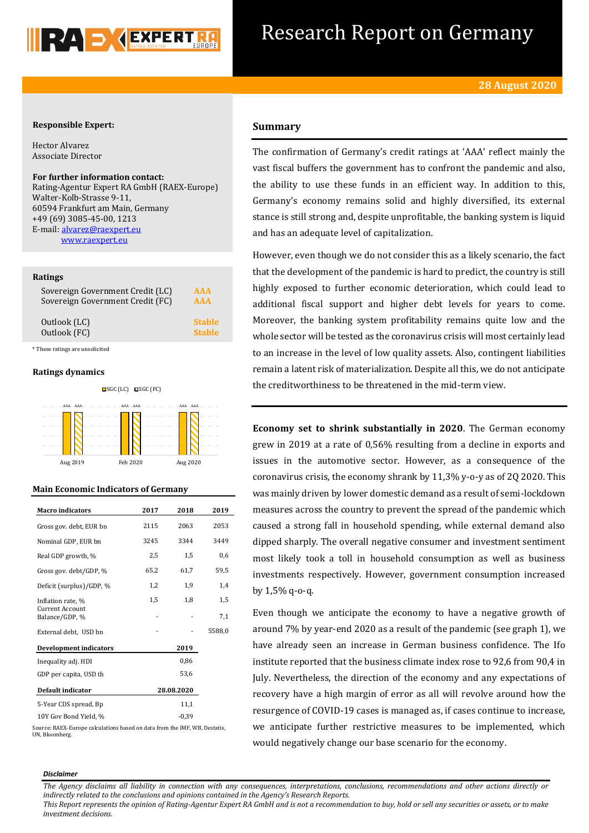

## Research Report on Germany

### **Responsible Expert:**

Hector Alvarez Associate Director

**For further information contact:**

Rating-Agentur Expert RA GmbH (RAEX-Europe) Walter-Kolb-Strasse 9-11, 60594 Frankfurt am Main, Germany +49 (69) 3085-45-00, 1213 E-mail[: alvarez@raexpert.eu](mailto:alvarez@raexpert.eu) [www.raexpert.eu](http://raexpert.eu/)

#### **Ratings**

| Sovereign Government Credit (LC) | <b>AAA</b>    |
|----------------------------------|---------------|
| Sovereign Government Credit (FC) | <b>AAA</b>    |
| Outlook (LC)                     | <b>Stable</b> |
| Outlook (FC)                     | <b>Stable</b> |

\* These ratings are unsolicited

#### **Ratings dynamics**



#### **Main Economic Indicators of Germany**

| <b>Macro</b> indicators                  | 2017 | 2018       | 2019   |
|------------------------------------------|------|------------|--------|
| Gross gov. debt, EUR bn                  | 2115 | 2063       | 2053   |
| Nominal GDP, EUR bn                      | 3245 | 3344       | 3449   |
| Real GDP growth, %                       | 2,5  | 1,5        | 0,6    |
| Gross gov. debt/GDP, %                   | 65,2 | 61,7       | 59,5   |
| Deficit (surplus)/GDP, %                 | 1,2  | 1,9        | 1,4    |
| Inflation rate, %                        | 1,5  | 1,8        | 1,5    |
| <b>Current Account</b><br>Balance/GDP, % |      |            | 7,1    |
| External debt, USD bn                    |      |            | 5588,0 |
| <b>Development indicators</b>            |      | 2019       |        |
| Inequality adj. HDI                      |      | 0,86       |        |
| GDP per capita, USD th                   |      | 53,6       |        |
| Default indicator                        |      | 28.08.2020 |        |
| 5-Year CDS spread, Bp                    |      | 11,1       |        |
| 10Y Gov Bond Yield, %                    |      | $-0,39$    |        |

Source: RAEX-Europe calculations based on data from the IMF, WB, Destatis, UN, Bloomberg.

## **Summary**

The confirmation of Germany's credit ratings at 'AAA' reflect mainly the vast fiscal buffers the government has to confront the pandemic and also, the ability to use these funds in an efficient way. In addition to this, Germany's economy remains solid and highly diversified, its external stance is still strong and, despite unprofitable, the banking system is liquid and has an adequate level of capitalization.

However, even though we do not consider this as a likely scenario, the fact that the development of the pandemic is hard to predict, the country is still highly exposed to further economic deterioration, which could lead to additional fiscal support and higher debt levels for years to come. Moreover, the banking system profitability remains quite low and the whole sector will be tested as the coronavirus crisis will most certainly lead to an increase in the level of low quality assets. Also, contingent liabilities remain a latent risk of materialization. Despite all this, we do not anticipate the creditworthiness to be threatened in the mid-term view.

**Economy set to shrink substantially in 2020**. The German economy grew in 2019 at a rate of 0,56% resulting from a decline in exports and issues in the automotive sector. However, as a consequence of the coronavirus crisis, the economy shrank by 11,3% y-o-y as of 2Q 2020. This was mainly driven by lower domestic demand as a result of semi-lockdown measures across the country to prevent the spread of the pandemic which caused a strong fall in household spending, while external demand also dipped sharply. The overall negative consumer and investment sentiment most likely took a toll in household consumption as well as business investments respectively. However, government consumption increased by 1,5% q-o-q.

Even though we anticipate the economy to have a negative growth of around 7% by year-end 2020 as a result of the pandemic (see graph 1), we have already seen an increase in German business confidence. The Ifo institute reported that the business climate index rose to 92,6 from 90,4 in July. Nevertheless, the direction of the economy and any expectations of recovery have a high margin of error as all will revolve around how the resurgence of COVID-19 cases is managed as, if cases continue to increase, we anticipate further restrictive measures to be implemented, which would negatively change our base scenario for the economy.

#### *Disclaimer*

*The Agency disclaims all liability in connection with any consequences, interpretations, conclusions, recommendations and other actions directly or indirectly related to the conclusions and opinions contained in the Agency's Research Reports.*

*This Report represents the opinion of Rating-Agentur Expert RA GmbH and is not a recommendation to buy, hold or sell any securities or assets, or to make investment decisions.*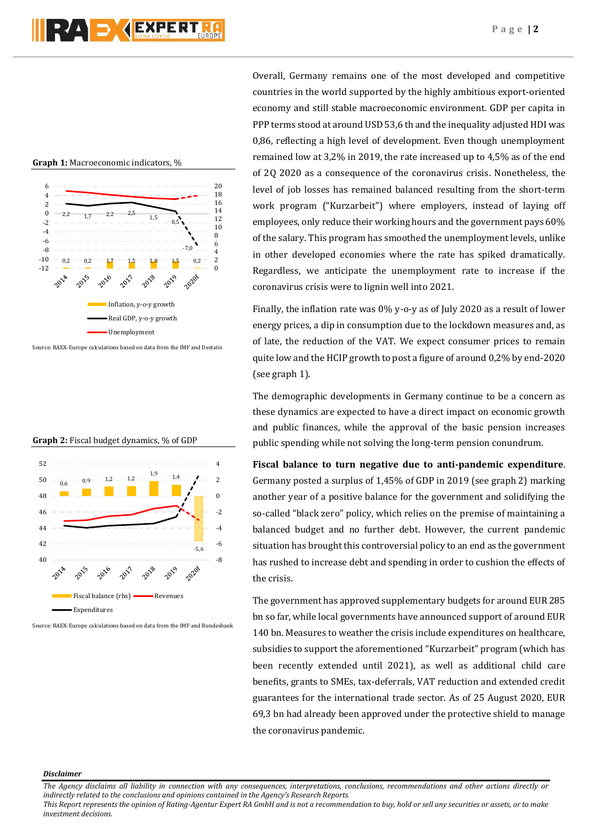**Graph 1:** Macroeconomic indicators, %



**Graph 2:** Fiscal budget dynamics, % of GDP



Source: RAEX-Europe calculations based on data from the IMF and Bundesbank

Overall, Germany remains one of the most developed and competitive countries in the world supported by the highly ambitious export-oriented economy and still stable macroeconomic environment. GDP per capita in PPP terms stood at around USD 53,6 th and the inequality adjusted HDI was 0,86, reflecting a high level of development. Even though unemployment remained low at 3,2% in 2019, the rate increased up to 4,5% as of the end of 2Q 2020 as a consequence of the coronavirus crisis. Nonetheless, the level of job losses has remained balanced resulting from the short-term work program ("Kurzarbeit") where employers, instead of laying off employees, only reduce their working hours and the government pays 60% of the salary. This program has smoothed the unemployment levels, unlike in other developed economies where the rate has spiked dramatically. Regardless, we anticipate the unemployment rate to increase if the coronavirus crisis were to lignin well into 2021.

Finally, the inflation rate was 0% y-o-y as of July 2020 as a result of lower energy prices, a dip in consumption due to the lockdown measures and, as of late, the reduction of the VAT. We expect consumer prices to remain quite low and the HCIP growth to post a figure of around 0,2% by end-2020 (see graph 1).

The demographic developments in Germany continue to be a concern as these dynamics are expected to have a direct impact on economic growth and public finances, while the approval of the basic pension increases public spending while not solving the long-term pension conundrum.

**Fiscal balance to turn negative due to anti-pandemic expenditure**. Germany posted a surplus of 1,45% of GDP in 2019 (see graph 2) marking another year of a positive balance for the government and solidifying the so-called "black zero" policy, which relies on the premise of maintaining a balanced budget and no further debt. However, the current pandemic situation has brought this controversial policy to an end as the government has rushed to increase debt and spending in order to cushion the effects of the crisis.

The government has approved supplementary budgets for around EUR 285 bn so far, while local governments have announced support of around EUR 140 bn. Measures to weather the crisis include expenditures on healthcare, subsidies to support the aforementioned "Kurzarbeit" program (which has been recently extended until 2021), as well as additional child care benefits, grants to SMEs, tax-deferrals, VAT reduction and extended credit guarantees for the international trade sector. As of 25 August 2020, EUR 69,3 bn had already been approved under the protective shield to manage the coronavirus pandemic.

#### *Disclaimer*

*The Agency disclaims all liability in connection with any consequences, interpretations, conclusions, recommendations and other actions directly or indirectly related to the conclusions and opinions contained in the Agency's Research Reports.*

*This Report represents the opinion of Rating-Agentur Expert RA GmbH and is not a recommendation to buy, hold or sell any securities or assets, or to make investment decisions.*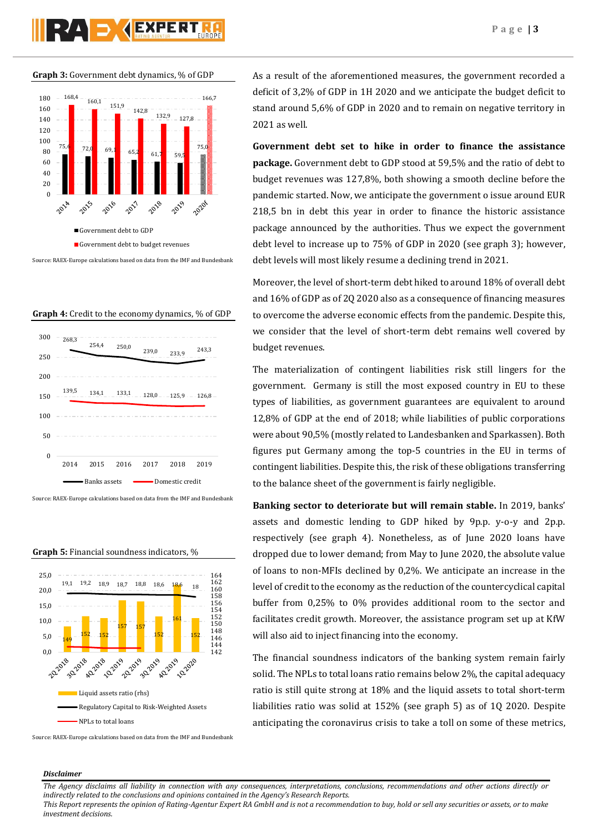# **PAD AEXPERT**

**Graph 3:** Government debt dynamics, % of GDP



Source: RAEX-Europe calculations based on data from the IMF and Bundesbank

**Graph 4:** Credit to the economy dynamics, % of GDP



Source: RAEX-Europe calculations based on data from the IMF and Bundesbank



**Graph 5:** Financial soundness indicators, %

As a result of the aforementioned measures, the government recorded a deficit of 3,2% of GDP in 1H 2020 and we anticipate the budget deficit to stand around 5,6% of GDP in 2020 and to remain on negative territory in 2021 as well.

**Government debt set to hike in order to finance the assistance package.** Government debt to GDP stood at 59,5% and the ratio of debt to budget revenues was 127,8%, both showing a smooth decline before the pandemic started. Now, we anticipate the government o issue around EUR 218,5 bn in debt this year in order to finance the historic assistance package announced by the authorities. Thus we expect the government debt level to increase up to 75% of GDP in 2020 (see graph 3); however, debt levels will most likely resume a declining trend in 2021.

Moreover, the level of short-term debt hiked to around 18% of overall debt and 16% of GDP as of 2Q 2020 also as a consequence of financing measures to overcome the adverse economic effects from the pandemic. Despite this, we consider that the level of short-term debt remains well covered by budget revenues.

The materialization of contingent liabilities risk still lingers for the government. Germany is still the most exposed country in EU to these types of liabilities, as government guarantees are equivalent to around 12,8% of GDP at the end of 2018; while liabilities of public corporations were about 90,5% (mostly related to Landesbanken and Sparkassen). Both figures put Germany among the top-5 countries in the EU in terms of contingent liabilities. Despite this, the risk of these obligations transferring to the balance sheet of the government is fairly negligible.

**Banking sector to deteriorate but will remain stable.** In 2019, banks' assets and domestic lending to GDP hiked by 9p.p. y-o-y and 2p.p. respectively (see graph 4). Nonetheless, as of June 2020 loans have dropped due to lower demand; from May to June 2020, the absolute value of loans to non-MFIs declined by 0,2%. We anticipate an increase in the level of credit to the economy as the reduction of the countercyclical capital buffer from 0,25% to 0% provides additional room to the sector and facilitates credit growth. Moreover, the assistance program set up at KfW will also aid to inject financing into the economy.

The financial soundness indicators of the banking system remain fairly solid. The NPLs to total loans ratio remains below 2%, the capital adequacy ratio is still quite strong at 18% and the liquid assets to total short-term liabilities ratio was solid at 152% (see graph 5) as of 1Q 2020. Despite anticipating the coronavirus crisis to take a toll on some of these metrics,

Source: RAEX-Europe calculations based on data from the IMF and Bundesbank

## *Disclaimer*

*The Agency disclaims all liability in connection with any consequences, interpretations, conclusions, recommendations and other actions directly or indirectly related to the conclusions and opinions contained in the Agency's Research Reports.*

*This Report represents the opinion of Rating-Agentur Expert RA GmbH and is not a recommendation to buy, hold or sell any securities or assets, or to make investment decisions.*